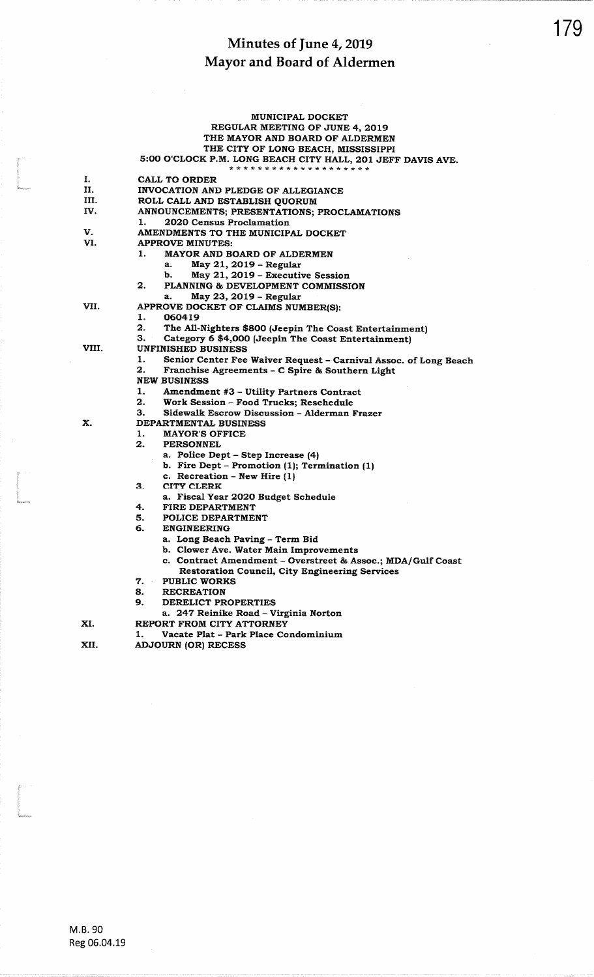### MUNICIPAL DOCKET REGULAR MEETING OF JUNE 4, 2019 THE MAYOR AND BOARD OF ALDERMEN THE CITY OF LONG BEACH, MISSISSIPPI 5:00 O'CLOCK P.M. LONG BEACH CITY HALL, 201 JEFF DAVIS AVE. \* \* \* \* \* \* \* \* \* \* \* \* \* \* \* \* \* CALL TO ORDER INVOCATION AND PLEDGE OF ALLEGIANCE ROLL CALL AND ESTABLISH QUORUM ANNOUNCEMENTS; PRESENTATIONS; PROCLAMATIONS  $\mathbf{1}$ . 2020 Census Proclamation AMENDMENTS TO THE MUNICIPAL DOCKET

- V. **APPROVE MINUTES:**
- VI. 1.
	- MAYOR AND BOARD OF ALDERMEN
		- May 21, 2019 Regular a.
		- May 21, 2019 Executive Session  $\mathbf{b}$ .
		- PLANNING & DEVELOPMENT COMMISSION
	- May 23, 2019 Regular a.
	- APPROVE DOCKET OF CLAIMS NUMBER(S):
- VII.

X.

XI.

I.

II.

III.

IV.

1.  $2<sub>1</sub>$ 

2.

- The All-Nighters \$800 (Jeepin The Coast Entertainment)
- З. Category 6 \$4,000 (Jeepin The Coast Entertainment)

VIII. **UNFINISHED BUSINESS** 

060419

- Senior Center Fee Waiver Request Carnival Assoc. of Long Beach 1. 2. Franchise Agreements - C Spire & Southern Light
- 
- **NEW BUSINESS**
- Amendment #3 Utility Partners Contract 1.
- $\overline{2}$ . Work Session - Food Trucks; Reschedule
- 3. Sidewalk Escrow Discussion - Alderman Frazer
- DEPARTMENTAL BUSINESS
	- **MAYOR'S OFFICE** 1.
	- $2.$ **PERSONNEL** 
		- a. Police Dept Step Increase (4)
		- b. Fire Dept Promotion (1); Termination (1)
		- c. Recreation New Hire (1)
		- **CITY CLERK**
	- 3.
		- a. Fiscal Year 2020 Budget Schedule
	- 4. FIRE DEPARTMENT
	- $5.$ POLICE DEPARTMENT
	- 6. **ENGINEERING** 
		- a. Long Beach Paving Term Bid
		- b. Clower Ave. Water Main Improvements
		- c. Contract Amendment Overstreet & Assoc.; MDA/Gulf Coast
		- Restoration Council, City Engineering Services
	- 7. PUBLIC WORKS
	- 8. **RECREATION**
	- 9. DERELICT PROPERTIES
	- a. 247 Reinike Road Virginia Norton
- REPORT FROM CITY ATTORNEY
- Vacate Plat Park Place Condominium

XII. **ADJOURN (OR) RECESS**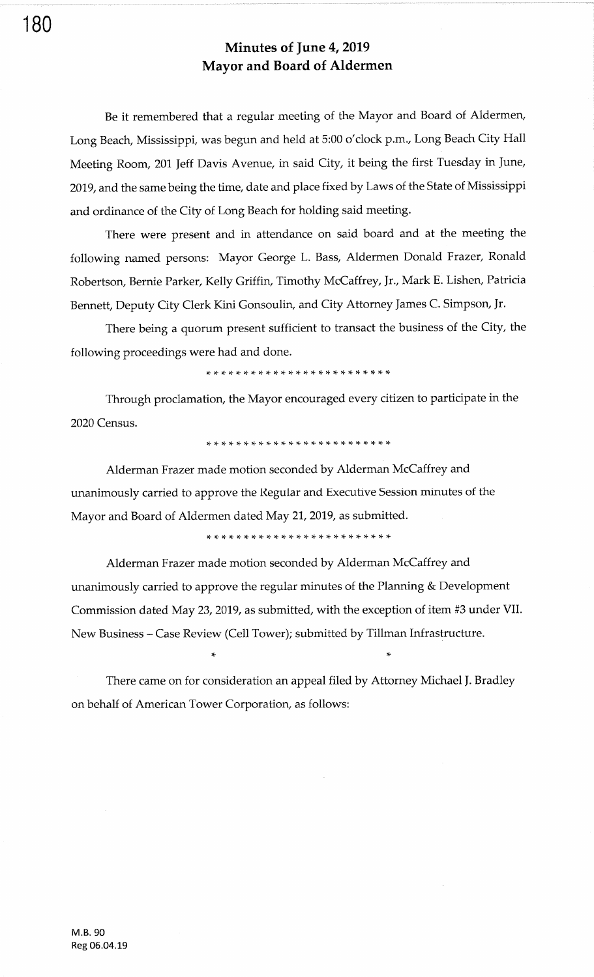Be it remembered that a regular meeting of the Mayor and Board of Aldermen, Long Beach, Mississippi, was begun and held at 5:00 o'clock p.m., Long Beach City Hall Meeting Room, 201 Jeff Davis Avenue, in said City, it being the first Tuesday in June, 2019, and the same being the time, date and place fixed by Laws of the State of Mississippi and ordinance of the City of Long Beach for holding said meeting.

There were present and in attendance on said board and at the meeting the following named persons: Mayor George L. Bass, Aldermen Donald Frazer, Ronald Robertson, Bernie Parker, Kelly Griffin, Timothy McCaffrey, Jr., Mark E. Lishen, Patricia Bennett, Deputy City Clerk Kini Gonsoulin, and City Attorney James C. Simpson, Jr.

There being a quorum present sufficient to transact the business of the City, the following proceedings were had and done.

ra- !F rF rt \* !t \* rF rF rF )F \* \* \* rF )F rF \* ri \* \* rF rt tt rf

Through proclamation, the Mayor encouraged every citizen to participate in the 2020 Census.

,F !F rT rF rF \* \* )T )t \* !F rF \* \* )C )F )t \*. rF rF \* \* \* tF !t

Alderman Frazer made motion seconded by Alderman McCaffrey and unanimously carried to approve the Regular and Executive Session minutes of the Mayor and Board of Aldermen dated May 21, 2019, as submitted.

\* \* \* \* \* rF !F rF \* \* rr \* \* \* rT \* rF rF \* ri rF \* )T \* rF

Alderman Frazer made motion seconded by Alderman McCaffrey and unanimously carried to approve the regular minutes of the Planning & Development Commission dated May 23, 2019, as submitted, with the exception of item #3 under VII. New Business - Case Review (Cell Tower); submitted by Tillman Infrastructure.

There came on for consideration an appeal filed by Attorney Michael ]. Bradley on behalf of American Tower Corporation, as follows:

,F

180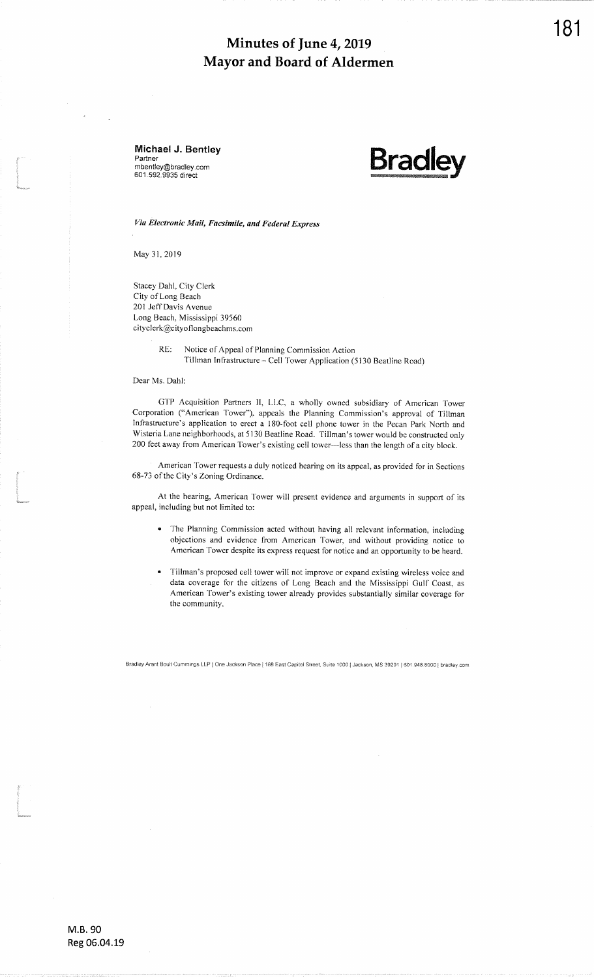Michael J. Bentley Partner<br>mbentley@bradley.con 601.592.9935 direc\*



Via Electronic Mail, Facsimile, and Federal Express

May 31, 2019

- -<br>Ida

i<br>I<br>I

t<br>Communication<br>Communication

Stacey Dahl, City ClerkCity of Long Beach 201 JeffDavis AvenueLong Beach, Mississippi 39560 cityclerk@cityoflongbeachms.com

> RE: Notice of Appeal of Planning Commission ActionTillman Infrastructure - Cell Tower Application (5130 Beatline Road)

Dear Ms. Dahl

GTP Acquisition Partners ll, LLC, a wholly owned subsidiary of American TowerCorporation ("American Tower"), appeals the Planning Commission's approval of Tillman Infrastructure's application to erect a 180-foot cell phone tower in the Pecan Park North and Wisteria Lane neighborhoods, at 5130 Beatline Road. Tillman's tower would be constructed only 200 feet away from American Tower's existing cell tower—less than the length of a city block.

American Tower requests a duly noticed hearing on its appeal, as provided for in Sections 68-73 of the City's Zoning Ordinance.

At the hearing, American Tower will present evidence and arguments in support of itsappeal, including but not Iimited to:

- The Planning Commission acted without having all relevant information, including objections and evidence from American Tower, and without providing notice toAmerican Tower despite its express rcquest for notice and an opportunity to be heard.
- Tillman's proposed cell tower will not improve or expand existing wireless voice and data coverage for the citizens of Long Beach and the Mississippi Culf Coast, as American Tower's existing tower already provides substantially similar coverage forthe community.

Bradley Arant Boult Cummings LLP | One Jackson Place | 188 East Capitol Street, Suite 1000 | Jackson, MS 39201 | 601.948.8000 | bradley.com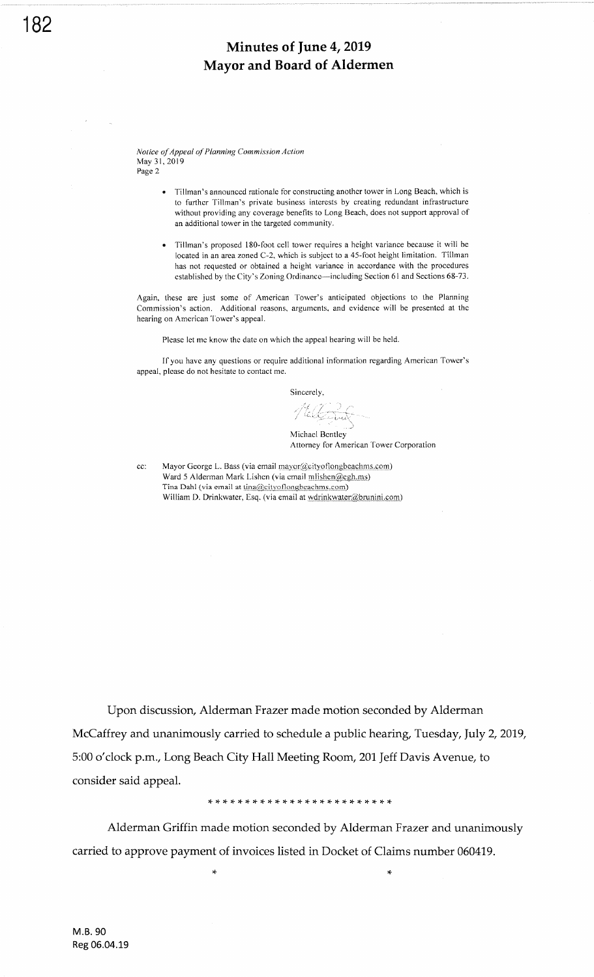Notice of Appeal of Planning Commission Aclion May 31,2019 Page 2

- . Tillman's announced nationale for constructing another tower in [.ong Beach, which is to further Tillman's private business interests by creating redundant infrastructure without providing any coverage benefits to Long Beach, does not support approval of an additional tower in the targeted community.
- . Tillman's proposed 180-foot cell tower requires a height variance because it will be located in an area zoned C-2, which is subject to a 45-foot height limitation. Tillman has not requested or obtained a height variance in accordance with the procedures established by the City's Zoning Ordinance-including Section 6l and Sections 68-73.

Again, these are just some of American Tower's anticipated objections to the Planning Commission's action. Additional reasons, arguments, and evidence will be presented at the hearing on American Tower's appeal.

Please let me know the date on which the appeal hearing will be held.

If you have any questions or require additional information regarding American Tower's appeal, please do not hesitate to contact me.

Sincerely,

Michael Bentley Attorney for American'fower Corporation

cc: Mayor George L. Bass (via email mayor@cityoflongbeachms.com) Ward 5 Alderman Mark Lishen (via email mlishen@egh.ms) Tina Dahl (via email at tina@cityoflongbeachms.com) William D. Drinkwater, Esq. (via email at wdrinkwater@brunini.com)

Upon discussion, Alderman Frazer made motion seconded by Alderman McCaffrey and unanimously carried to schedule a public hearing, Tuesday, JuIy 2,2019, 5:00 o'clock p.m., Long Beach City Hall Meeting Room, 201 Jeff Davis Avenue, to consider said appeal.

Alderman Griffin made motion seconded by Alderman Frazer and unanimously carried to approve payment of invoices listed in Docket of Claims number 060419.

)F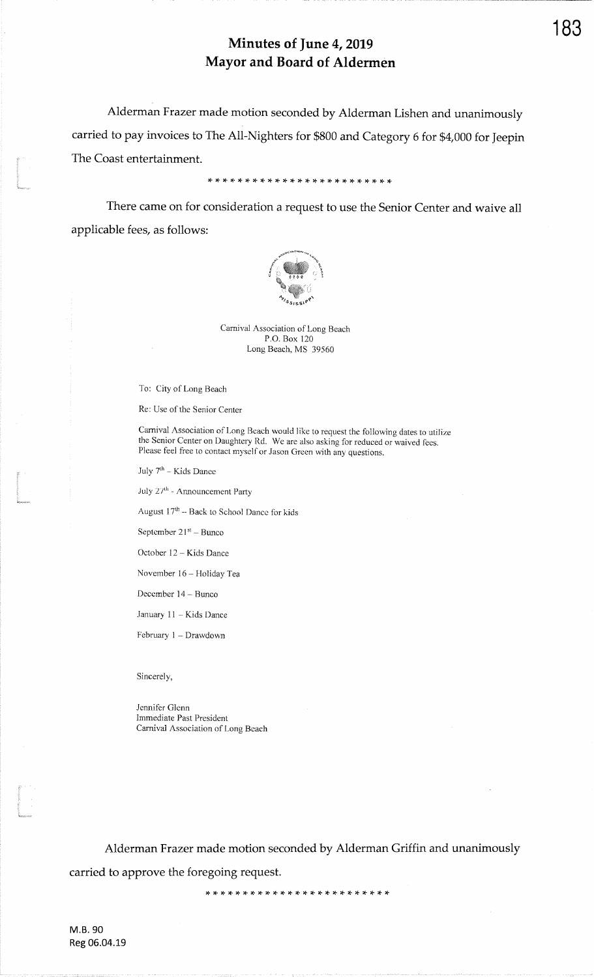Alderman Frazer made motion seconded by Alderman Lishen and unanimouslycarried to pay invoices to The All-Nighters for \$800 and Category 6 for \$4000 for Jeepin $\blacksquare$  The Coast entertainment.

\* \* rF rF rF rF \* \* \* r\$ rF \* \* \* rF )F \* rF \* rt rF \* \* \*,\*

There came on for consideration a request to use the Senior Center and waive all applicable fees, as follows:



Camival Association of Long BeachP.O. Box 120Long Beach, MS 39560

To: City of Long Beach

t<br>Geographica

i<br>immon

l<br>Lincolarum

Re: Use of the Senior Center

Carnival Association of Long Beach would like to request the following dates to utilizethe Senior Center on Daughtery Rd. We are also asking for reduced or waived fees. Please feel free to contact myself or Jason Green with any questions.

July  $7^{\rm th}$  – Kids Dance

July 27th - Announcement Party

August  $17<sup>th</sup>$  - Back to School Dance for kids

September  $21^{st}$  - Bunco

October 12 - Kids Dance

November 16 - Holiday Tea

December 14 - Bunco

January 11 - Kids Dance

February 1 - Drawdown

Sincerely,

Jennifer Glenn Immediate Past PresidentCarnival Association of Long Beach

Alderman Frazer made motion seconded by Alderman Griffin and unanimouslycarried to approve the foregoing request.

,F,F'F,F,F,F,F'+'T \*,T'G :F'T'T )t :F :F \* \* \* \*'T \*'T

M.B.90Reg 06.04.19 183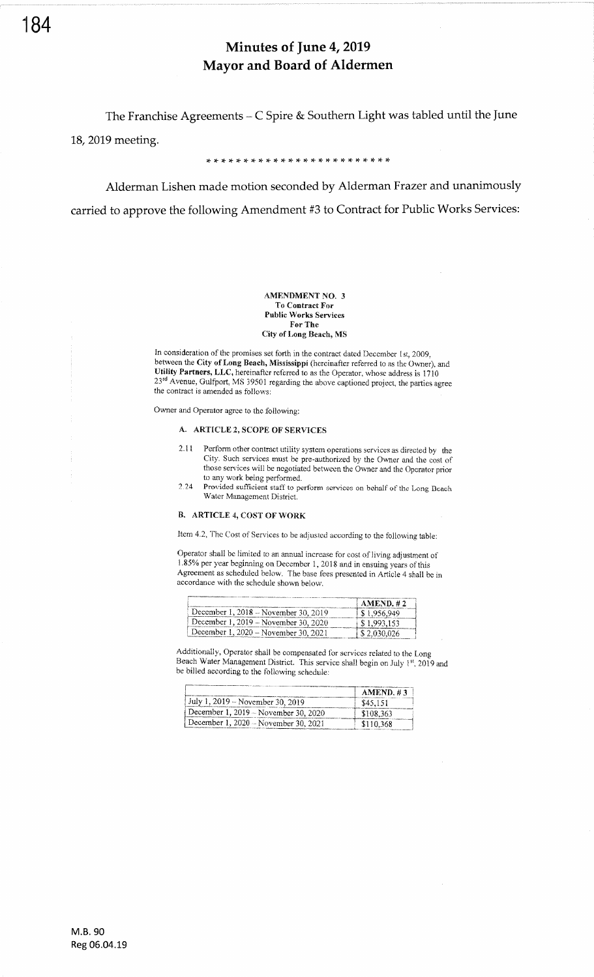The Franchise Agreements  $-C$  Spire & Southern Light was tabled until the June

18,2019 meeting.

\* \* rF \* \* \* \* \* rT \* rt rF \* \* \* rF rt :f ,l \* rT tT tF rt \*

Alderman Lishen made motion seconded by Alderman Frazer and unanimously carried to approve the following Amendment #3 to Contract for Public Works Services:

### AMENDMENT NO. 3 To Contract For Public Works Services For The City of Long Beach, MS

In consideration of the promises set forth in the contract dated December 1st, 2009, between the City of Long Beach, Mississippi (hereinafter referred to as the Owner), and Utility Partners, LLC, hereinafter referred to as the Operator, whose address is 1710 23<sup>td</sup> Avenue, Gulfport, MS 39501 regarding the above captioned project, the parties agree the contract is amended as follows:

Owner and Operator agree to the following:

### A. ARTICLE 2, SCOPE OF SERVICES

- 2,ll Porform other contract utility system operadons services as directed by the City. Such services must be pre-authorized by the Owner and the cost of those seryices will be negotiated between the Owner and the Operator prior
- 2.24 Provided sufficient staff to perform services on behalf of the Long Beach Water Management District.

### B. ARTICLE 4, CoST OF WoRK

Item 4.2, Thc Cost of Services to be adjusted according to the following table:

Operator shall be limited to an annual increase for cost of living adjustment of 1.85% per year beginning on December l, <sup>201</sup>8 and in ensuing years ofthis Agreement as scheduled below. The base fees presented in Article 4 shall be in accordance with the schedule shown below.

|                                      | AMEND. #2               |
|--------------------------------------|-------------------------|
| December 1, 2018 – November 30, 2019 | $\frac{1}{2}$ 1,956,949 |
| December 1, 2019 – November 30, 2020 | 81.993.153              |
| December 1, 2020 - November 30, 2021 | i \$ 2.030.026          |

Additionally, Operator shall be compensated for services related to the Long Beach Water Management District. This service shall begin on July  $1^{st}$ , 2019 and be billed according to the following schedule:

|                                      | AMEND. #3 |
|--------------------------------------|-----------|
| July 1, 2019 – November 30, 2019     | \$45.151  |
| December 1, 2019 – November 30, 2020 | \$108.363 |
| December 1, 2020 – November 30, 2021 | \$110,368 |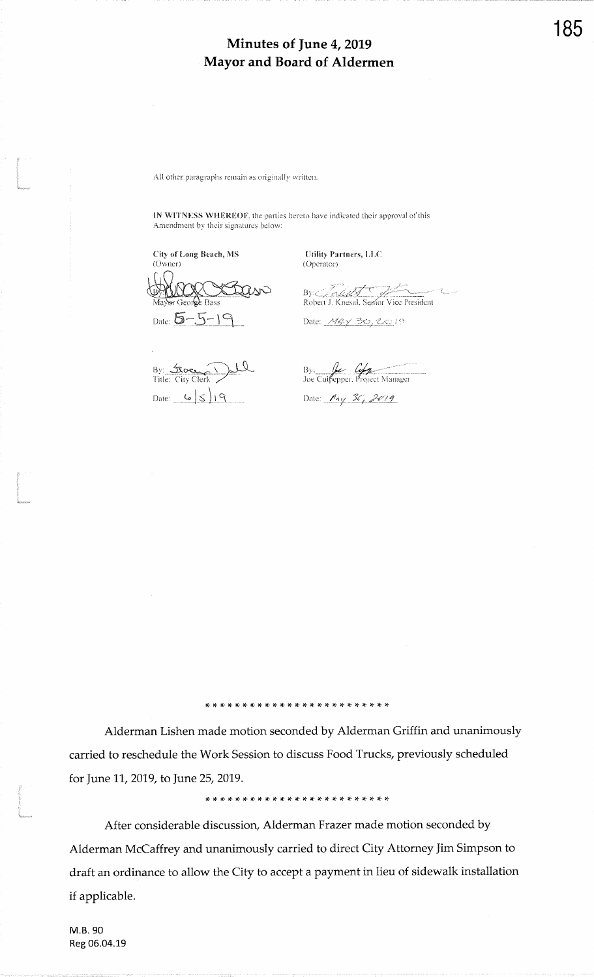All other paragraphs remain as originally written.

IN WITNESS WHEREOF, the parties hereto have indicated their approval of this Amendment by their signatures below:

City of Long Beach, MS (Owner) r Geor**le** Bass Date:  $5 - 5 - 19$ 

By: <u>Acce</u> Date:  $6519$ 

Utility Partners, LLC (Operator)

By Allen Robert J. Knessal, Semor Vice President

Date: *MAY* 30, 2019

By: 2007

Date: *May 30, 2019* 

Alderman Lishen made motion seconded by Alderman Griffin and unanimously carried to reschedule the Work Session to discuss Food Trucks, previously scheduled for June 11, 2019, to June 25, 2019.

After considerable discussion, Alderman Frazer made motion seconded by Alderman McCaffrey and unanimously carried to direct City Attorney Jim Simpson to draft an ordinance to allow the City to accept a payment in lieu of sidewalk installation if applicable.

M.B. 90 Reg 06.04.19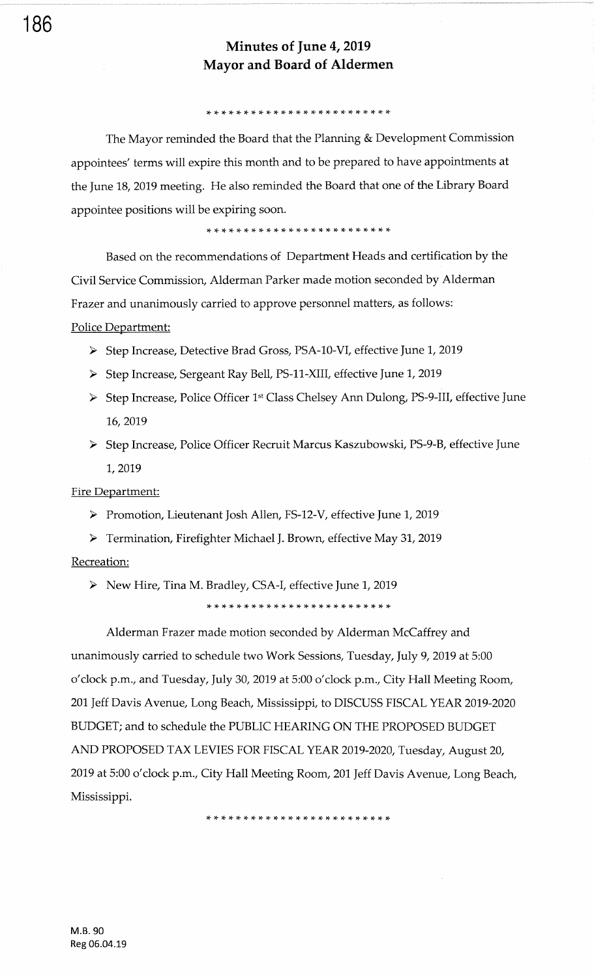### )F rF \* \* tg \* rF \* \* \* !+ rt \* )F rF \* \* \* \* \* rF )F rt \* \*

The Mayor reminded the Board that the Planning & Development Commission appointees' terms will expire this month and to be prepared to have appointments at the June 18, 2019 meeting. He also reminded the Board that one of the Library Board appointee positions will be expiring soon.

)F rF )t rF \* \* !F !T rF )T rF )f \* \* \* rl !F rF tF )F \* \* !F rF rF

Based on the recommendations of Department Heads and certification by the Civil Service Commission, Alderman Parker made motion seconded by Alderman Frazer and unanimously carried to approve personnel matters, as follows: Police Department:

- > Step Increase, Detective Brad Gross, PSA-10-VI, effective June 1, 2019
- > Step Increase, Sergeant Ray Bell, PS-11-XIII, effective June 1, 2019
- > Step Increase, Police Officer 1<sup>st</sup> Class Chelsey Ann Dulong, PS-9-III, effective June 16, 2019
- > Step Increase, Police Officer Recruit Marcus Kaszubowski, PS-9-B, effective June 1,2019

Fire Department:

> Promotion, Lieutenant Josh Allen, FS-12-V, effective June 1, 2019

> Termination, Firefighter Michael J. Brown, effective May 31, 2019 Recreation:

> New Hire, Tina M. Bradley, CSA-I, effective June 1, 2019

\*\*\*\*\*\*\*\*\*\*\*\*\*\*\*\*\*\*\*\*\*\*\*\*\*

Alderman Frazer made motion seconded by Alderman McCaffrey and unanimously carried to schedule two Work Sessions, Tuesday, luly 9,2019 at 5:00 o'clock p.m., and Tuesday, July 30, 2019 at 5:00 o'clock p.m., City Hall Meeting Room, 201 Jeff Davis Avenue, Long Beach, Mississippi, to DISCUSS FISCAL YEAR 2019-2020 BUDGET; and to schedule the PUBLIC HEARING ON THE PROPOSED BUDGET AND PROPOSED TAX LEVIES FOR FISCAL YEAR 2019-2020. Tuesday, August 20, 2019 at 5:00 o'clock p.m., City Hall Meeting Room, 201 Jeff Davis Avenue, Long Beach, Mississippi.

,t \* \* \* rF \* \* \* \* rF rF rT rF )F rF )F rF rT r+ rl. rF rg rt r{. r{.

186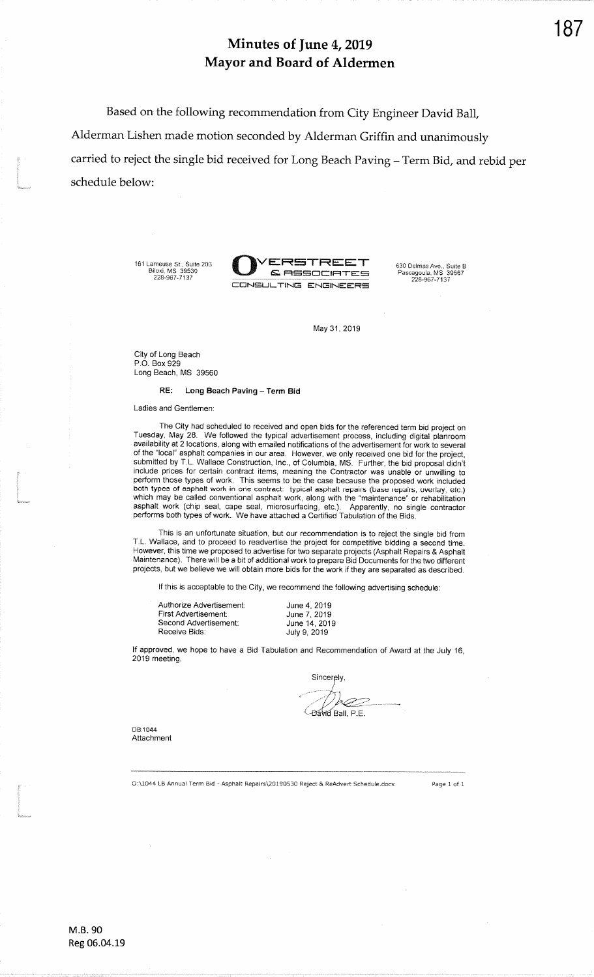Based on the following recommendation from City Engineer David BalfAlderman Lishen made motion seconded by Alderman Griffin and unanimouslycarried to reject the single bid received for Long Beach Paving - Term Bid, and rebid per schedule below:

161 Lameuse St., Suite 203<br>Biloxi, MS\_39530<br>228-967-7137

f



May 31, 2019

City of Long BeachP.0. Box 929Long Beach, MS 39560

RE: Long Beach Paving - Term Bid

Ladies and Gentlemen:

The City had scheduled to received and open bids for the referenced term bid project onTuesday, May 28. We followed the typical advertisement process, including digital planroom<br>availability at 2 locations, along with emailed notifications of the advertisement for work to several<br>of the "local" asphalt compa include prices for certain contract items, meaning the Contractor was unable or unwilling to<br>perform those types of work. This seems to be the case because the proposed work included both types of asphalt work in one contract: typical asphalt repairs (base repairs, overlay, etc.) which may be called conventional asphalt work, along with the "maintenance" or rehabilitationApparently, no single contractor asphalt work (chip seal, cape seal, microsurfacing, etc.). Apparenily, no single contractorperforms both types of work. We have attached a Certified Tabulation of the Bids.

This is an unfortunale situation, but our recommendation is to reject the single bid fromT.L. Wallace, and to proceed to readvertise the project for competitive bidding a second time.<br>However, this time we proposed to advertise for two separate projects (Asphalt Repairs & Asphalt<br>Maintenance). There will be a projects, but we believe we will obtain more bids for the work if they are separated as described.

lf this is acceptable to the City, we recommend the following advertising schedule:

| Authorize Advertisement: |  |
|--------------------------|--|
| First Advertisement:     |  |
| Second Advertisement:    |  |
| Receive Bids:            |  |

June 4, 2019 June 7, 2019 June '14, 2019July 9, 2019

lf approved, we hope to have a Bid Tabulation and Recommendation of Award at the July 16,2019 meeting.

Sincerely, Ball, P.E.

DB:1044Attachment

O:\1044 LB Annual Term Bid - Asphalt Repairs\20190530 Reject & ReAdvert Schedule.docx

Page 1 of 1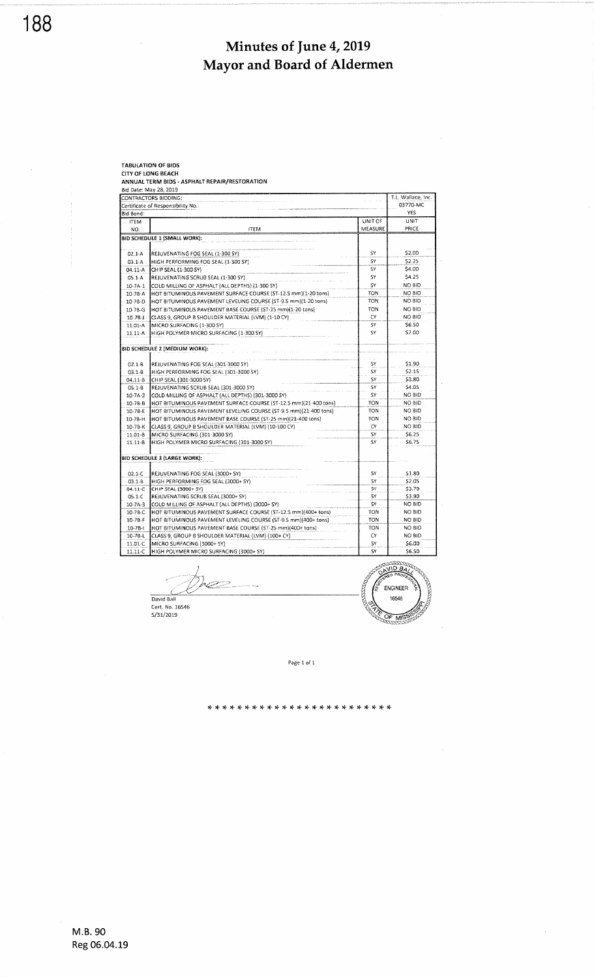|                         | <b>TABULATION OF BIDS</b>                                                                                              |                 |                    |
|-------------------------|------------------------------------------------------------------------------------------------------------------------|-----------------|--------------------|
|                         | <b>CITY OF LONG BEACH</b>                                                                                              |                 |                    |
|                         | ANNUAL TERM BIDS - ASPHALT REPAIR/RESTORATION                                                                          |                 |                    |
|                         | Bid Date: May 28, 2019                                                                                                 |                 |                    |
|                         | CONTRACTORS BIDDING:                                                                                                   |                 | T.L. Wallace, Inc. |
|                         | Certificate of Responsibility No.:                                                                                     |                 | 03770-MC           |
| Bid Bond:               |                                                                                                                        |                 | YES                |
| <b>ITEM</b>             |                                                                                                                        | UNIT OF         | <b>UNIT</b>        |
| NO.                     | <b>ITEM</b>                                                                                                            | MEASURE         | PRICE              |
|                         | BID SCHEDULE 1 (SMALL WORK):                                                                                           |                 |                    |
|                         |                                                                                                                        |                 |                    |
| $02.1 - A$              | REJUVENATING FOG SEAL (1-300 SY)                                                                                       | SY              | \$2.00             |
| $03.1 - A$              | HIGH PERFORMING FOG SEAL (1-300 SY)                                                                                    | SΥ              | \$2.25             |
| $04.11 - A$             | CHIP SEAL (1-300 SY)                                                                                                   | SY              | \$4.00             |
| $05.1 - A$              | REJUVENATING SCRUB SEAL (1-300 SY)                                                                                     | SΥ              | \$4.25             |
| $10-7A-1$               | COLD MILLING OF ASPHALT (ALL DEPTHS) (1-300 SY)                                                                        | SY              | NO BID             |
| 10-78-A                 | HOT BITUMINOUS PAVEMENT SURFACE COURSE (ST-12.5 mm)(1-20 tons)                                                         | TON             | NO BID             |
| 10-78-D                 | HOT BITUMINOUS PAVEMENT LEVELING COURSE (ST-9.5 mm)(1-20 tons)                                                         | <b>TON</b>      | NO BID             |
| $10-78-G$               | HOT BITUMINOUS PAVEMENT BASE COURSE (ST-25 mm)(1-20 tons)                                                              | TON             | NO BID             |
|                         |                                                                                                                        | C٧              | NO BID             |
| $10-7B-J$               | CLASS 9, GROUP B SHOULDER MATERIAL (LVM) (1-10 CY)                                                                     | <b>SY</b>       | \$6.50             |
| $11.01 - A$             | MICRO SURFACING (1-300 SY)                                                                                             | SY              | \$7.00             |
| $11.11 - A$             | HIGH POLYMER MICRO SURFACING (1-300 SY)                                                                                |                 |                    |
|                         |                                                                                                                        |                 |                    |
|                         | BID SCHEDULE 2 (MEDIUM WORK):                                                                                          |                 |                    |
| $02.1 - B$              | REJUVENATING FOG SEAL (301-3000 SY)                                                                                    | S٢              | \$1.90             |
| $03.1 - B$              | HIGH PERFORMING FOG SEAL (301-3000 SY)                                                                                 | SY              | \$2.15             |
| 04.11-8                 | CHIP SEAL (301-3000 SY)                                                                                                | SY              | \$3.80             |
|                         | REJUVENATING SCRUB SEAL (301-3000 SY)                                                                                  | SY              | \$4.05             |
| $05.1 - B$<br>$10-7A-2$ |                                                                                                                        | SY              | <b>NO BID</b>      |
|                         | COLD MILLING OF ASPHALT (ALL DEPTHS) (301-3000 SY)<br>HOT BITUMINOUS PAVEMENT SURFACE COURSE (ST-12.5 mm)(21-400 tons) | TON             | NO SID             |
| $10-78-B$               |                                                                                                                        | <b>TON</b>      | NO BID             |
| 10-7B-E                 | HOT BITUMINOUS PAVEMENT LEVELING COURSE (ST-9.5 mm)(21-400 tons)                                                       | <b>TON</b>      | NO BID             |
| 10-7B-H                 | HOT BITUMINOUS PAVEMENT BASE COURSE (ST-25 mm)(21-400 tons)                                                            | CΥ              | NO BID             |
| 10-78-K                 | CLASS 9, GROUP B SHOULDER MATERIAL (LVM) (10-100 CY)                                                                   |                 |                    |
| 11.01-B                 | MICRO SURFACING (301-3000 SY)                                                                                          | SΥ<br>SY        | \$6.25<br>\$6.75   |
| $11.11 - B$             | HIGH POLYMER MICRO SURFACING (301-3000 SY)                                                                             |                 |                    |
|                         |                                                                                                                        |                 |                    |
|                         | <b>BID SCHEDULE 3 (LARGE WORK):</b>                                                                                    |                 |                    |
|                         |                                                                                                                        |                 |                    |
| $02.1 - C$              | REJUVENATING FOG SEAL (3000+ SY)                                                                                       | SY<br><b>SY</b> | \$1.80             |
| $03.1 - 8$              | HIGH PERFORMING FOG SEAL (3000+ SY)                                                                                    |                 | \$2.05             |
| $04.11 - C$             | CHIP SEAL (3000+ SY)                                                                                                   | SΥ              | \$3.70             |
| $05.1 - C$              | REJUVENATING SCRUB SEAL (3000+ SY)                                                                                     | <b>SY</b>       | \$3.90             |
| $10-7A-3$               | COLD MILLING OF ASPHALT (ALL DEPTHS) (3000+ SY)                                                                        | SΥ              | NO BID             |
| 10-78-C                 | HOT BITUMINOUS PAVEMENT SURFACE COURSE (ST-12.5 mm)(400+ tons)                                                         | TON             | NO BID             |
| $10 - 78 - F$           | HOT BITUMINOUS PAVEMENT LEVELING COURSE (ST-9.5 mm)(400+ tons)                                                         | <b>TON</b>      | NO BID             |
| $10-7B-1$               | HOT BITUMINOUS PAVEMENT BASE COURSE (ST-25 mm)(400+ tans)                                                              | TON             | NO BID             |
| $10 - 7B - L$           | CLASS 9, GROUP B SHOULDER MATERIAL (LVM) (100+ CY)                                                                     | C٢              | NO BID             |
| 11.01-C                 | MICRO SURFACING (3000+ SY)                                                                                             | SY              | \$6.00             |
| $11.11 - C$             | HIGH POLYMER MICRO SURFACING (3000+ SY)                                                                                | SY              | \$6.50             |

**VIDEA** ENGINEER David Ball<br>Cert. No. 16546<br>5/31/2019 16546  $OF$  M<sup>I</sup>

Page 1 of 1

× \* \* \* \* \* \* \* \* \* \* \* \* \* \* \* \*.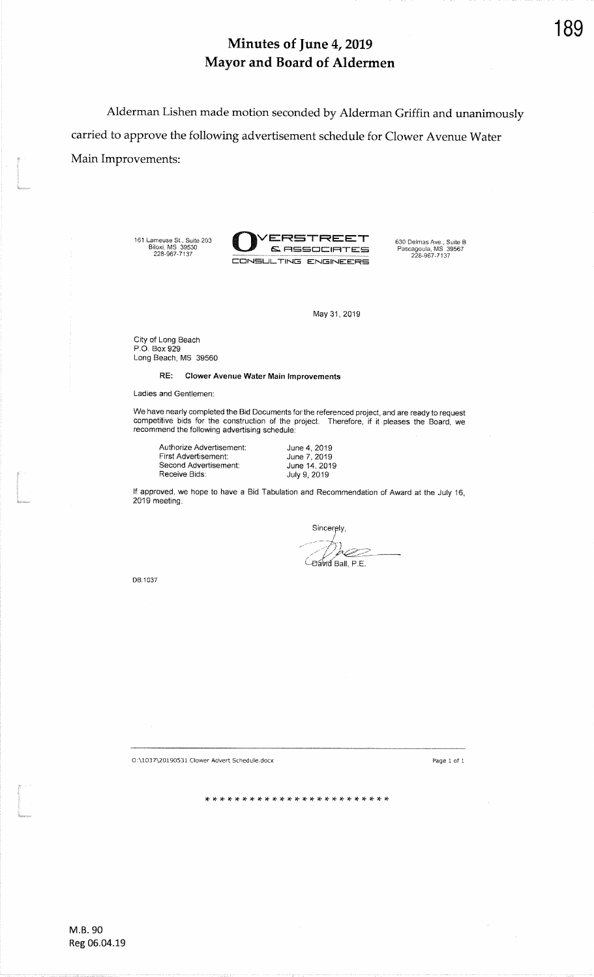Alderman Lishen made motion seconded by Alderman Griffin and unanimouslycarried to approve the following advertisement schedule for Clower Avenue WaterMain Improvements: t

161 Lameuse St., Suite 203<br>Biloxi, MS 39530<br>228-967-7137



May 31, 2019

City of Long Beach P.O. Box 929Long Beach, MS 39560

RE: Clower Avenue Water Main Improvements

Ladies and Gentlemen:

We have nearly completed the Bid Documents for the referenced project, and are ready to request<br>competitive bids for the construction of the project. Therefore, if it pleases the Board, we recommend the following advertising schedub:

Authorize Advertisement:First Advertisement: Second Advertisement:Receive Bids:

June 4, 2019 June 7, 201 9 June 14,2019 July 9, 2019

Receive Bids<br>If approved, we hop<br>2019 meeting. lf approved, we hope to have a Bid Tabulation and Recommendation of Award at the July 16, 2019 meeting.

Sincerely, *Bavid Ball, P.E.* 

DB:1037

O:\1037\20190531 Clower Advert Schedule,docx

Page I of <sup>1</sup>

t de la propieta de la construcción de la construcción de la construcción de la construcción de la construcció<br>Construcción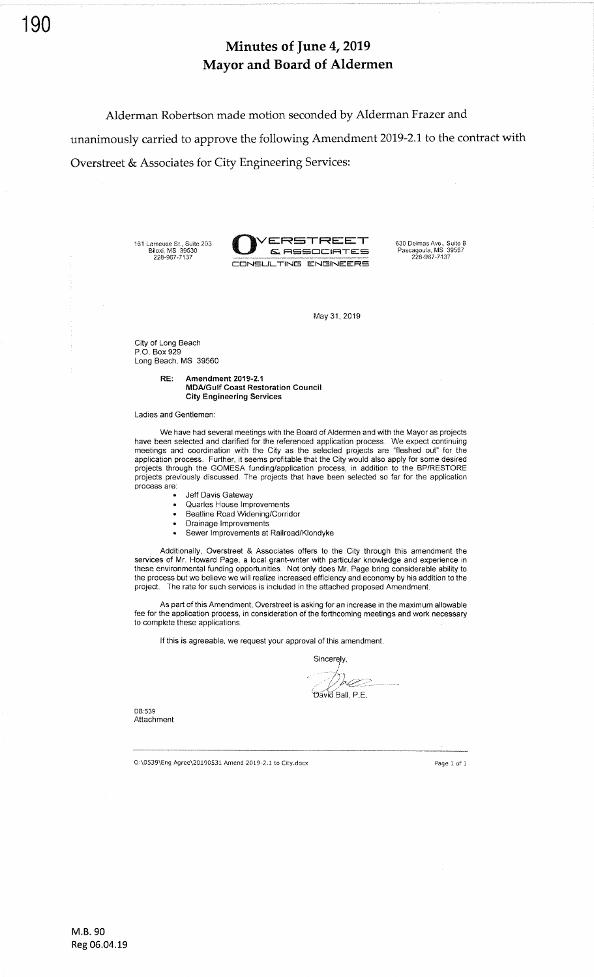Alderman Robertson made motion seconded by Alderman Frazer and unanimously carried to approve the following Amendment 2019-2.1 to the contract with Overstreet & Associates for City Engineering Services:

161 Lameuse St., Suite 203<br>Biloxi, MS 39530<br>228-967-7137



630 DelmasAve., Suite B

## May 31, 2019

City of Long Beach P.O. Box 929 Long Beach, MS <sup>39560</sup>

> RE: Amendment 2019-2.1 MDA/Gulf Coast Restoration Council City Engineering Services

Ladies and Gentlemen:

We have had several meetings with the Board of Aldermen and with the Mayor as projects have been selected and clarified for the referenced application process. We expect continuing meetings and coordination with the City as the selected projects are "fleshed out' for the application process. Further, it seems profitable that the City would also apply for some desired projects through the GOMESA funding/application process, in addition to the BP/RESTORE projects previously discussed. The projects that have been selected so far for the application process are:

- Jeff Davis Gateway
- . Quarles House lmprovements
- . Beatline Road Widening/Corridor
- Drainage Improvements
- . Sewer lmprovements at Railroad/Klondyke

Additionally, Overstreet & Associates offers to the City through this amendment the services of Mr. Howard Page, a local grant-writer with particular knowledge and experience in these environmental funding opportunities. Not only does Mr. Page bring considerable ability to the process but we believe we will realize increased efficiency and economy by his addition to the project. The rate for such services is included in the attached proposed Amendment.

As part of this Amendment, Overstreet is asking for an increase in the maximum allowable fee for the application process, in consideration of the forthcoming meetings and work necessary to complete these applications.

lf this is agreeable, we request your approval of this amendment.

Sincerely

b CZ

 $P_F$ ลงเส $R$ ลแ $P_F$ 

DB:539 Attachment

 $O:\0539\$ Eng Agree\20190531 Amend 2019-2.1 to City,docx Paoe 1 of 1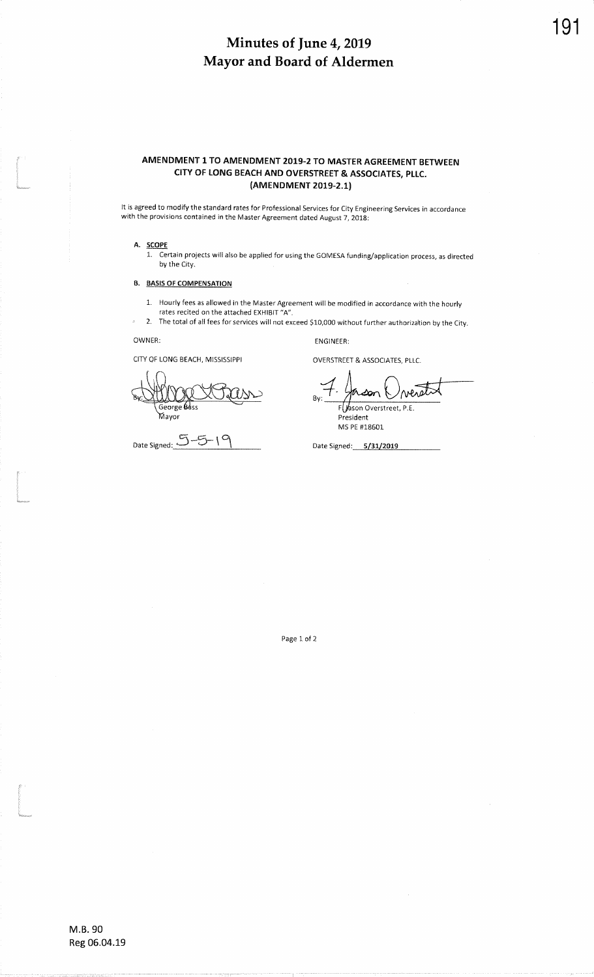## AMENDMENT 1 TO AMENDMENT 2019-2 TO MASTER AGREEMENT BETWEEN CITY OF LONG BEACH AND OVERSTREET & ASSOCIATES, PLLC. (AMENDMENT 2019-2.1)

It is agreed to modify the standard rates for Professional Services for City Engineering Services in accordance with the provisions contained in the Master Agreement dated August Z, 2019:

## A. SCOPE

t<br>Samun<br>Samun

t<br>1980<br>Margaret

t<br>Santanan<br>Manazarta

 1. Certain projects will also be applied for using the GOMESA funding/application process, as directed by the City.

### B. BASIS OF COMPENSATION

- 1. Hourly fees as allowed in the Master Agreement will be modified in accordance with the hourly
	- rates recited on the attached EXHIBIT "A".

2. The total of all fees for services will not exceed \$10,000 without further authorization by the

OWNER:

 $\Delta$ 

CITY OF LONG BEACH, MISSISSIPPI

George<br>Mayor

Date Signed: $5-5-19$  Date Signed: 5/31/2019

ENGINEER:

OVERSTREET & ASSOCIATES, PLLC.

verst F Jason Overstreet, P.E.

President MS PE #18601

Page 1 of 2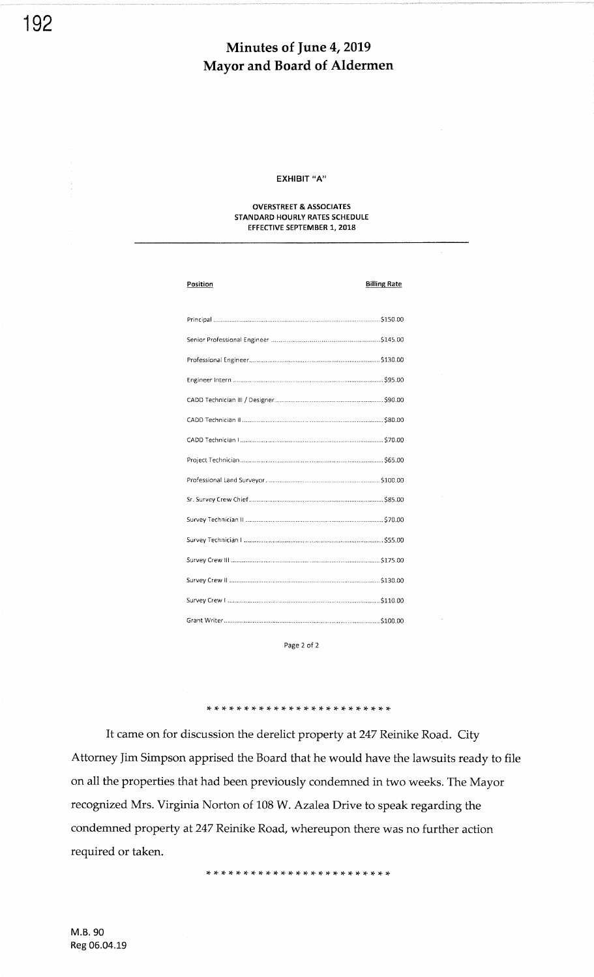## EXHIBIT "A"

### OVERSTREET & ASSOCIATES STANDARD HOURLY RATES SCHEDULE EFFECTIVE SEPTEMBER 1, 2018

| Position | <b>Billing Rate</b> |
|----------|---------------------|
|          |                     |
|          |                     |
|          |                     |
|          |                     |
|          |                     |
|          |                     |
|          |                     |
|          |                     |
|          |                     |
|          |                     |
|          |                     |
|          |                     |
|          |                     |
|          |                     |
|          |                     |
|          |                     |
|          |                     |

Page 2 of <sup>2</sup>

It came on for discussion the derelict property at 247 Reinike Road. City Attorney ]im Simpson apprised the Board that he would have the lawsuits ready to file on all the properties that had been previously condemned in two weeks. The Mayor recognized Mrs. Virginia Norton of 108 W. Azalea Drive to speak regarding the condemned property at 247 Reinike Road, whereupon there was no further action required or taken.

,<sup>F</sup>\* \*:t lt rF rt rF !t rF \* \* \* \* \* rt rT rT r+ rF !c:F ra. rt rt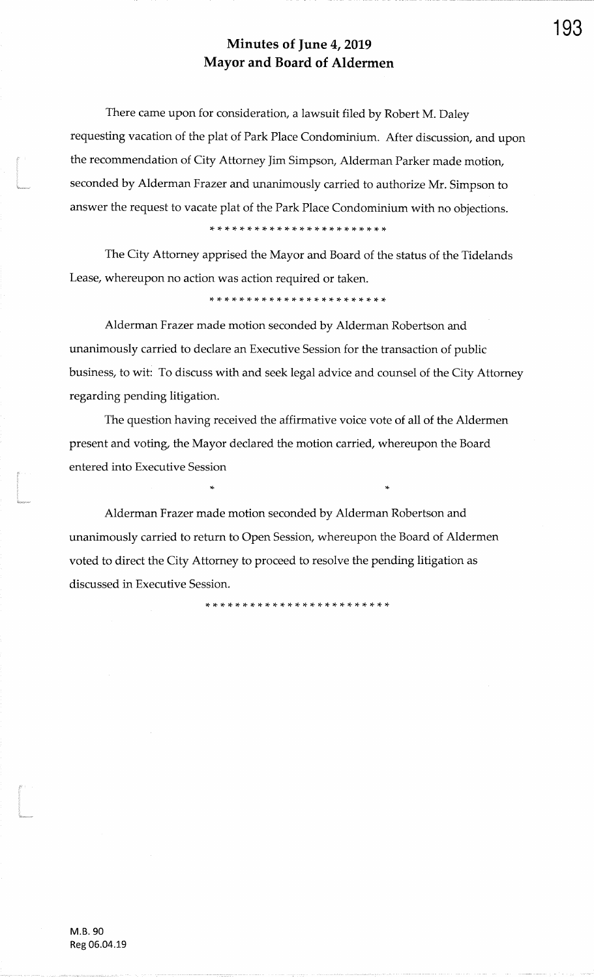There came upon for consideration, a lawsuit filed by Robert M. Daley requesting vacation of the plat of Park Place Condominium. After discussion, and upon the recommendation of City Attorney Jim Simpson, Alderman Parker made motion, seconded by Alderman Frazer and unanimously carried to authorize Mr. Simpson to answer the request to vacate plat of the Park Place Condominium with no objections.

The City Attorney apprised the Mayor and Board of the status of the TidelandsLease, whereupon no action was action required or taken.

\* \* \* \* rF \* rF rF rF rt rF \* \* \* \* \* \* \* rt )F \* rF \* \*

Alderman Frazer made motion seconded by Alderman Robertson andunanimously carried to declare an Executive Session for the transaction of publicbusiness, to wit: To discuss with and seek legal advice and counsel of the City Attorneyregarding pending litigation.

The question having received the affirmative voice vote of all of the Aldermenpresent and voting, the Mayor declared the motion carried, whereupon the Boardentered into Executive Session

,F

Alderman Frazer made motion seconded by Alderman Robertson andunanimously carried to return to Open Session, whereupon the Board of Aldermen voted to direct the City Attorney to proceed to resolve the pending litigation asdiscussed in Executive Session.

\* \* \* \* \* \* \* \* \* \* \* rt \* )f rF \* rt \* \* \* \* \* \* \* rF

.<br>Kasaysoo